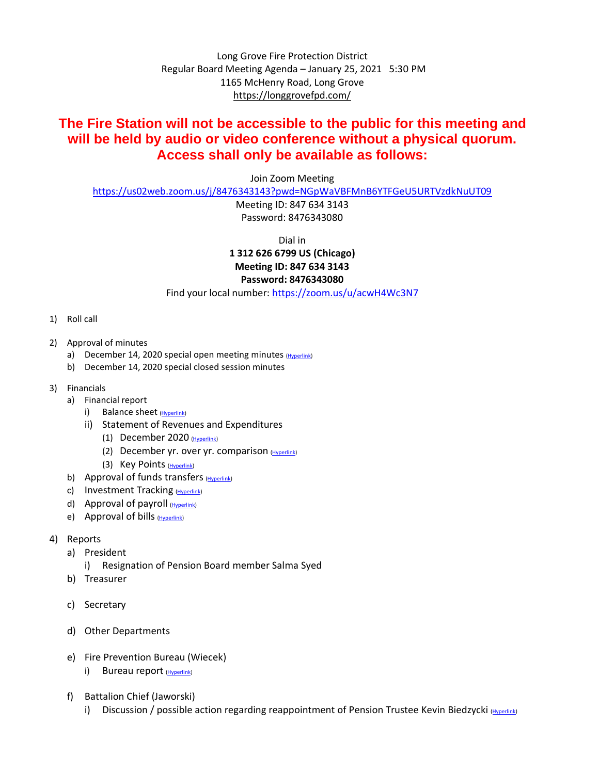Long Grove Fire Protection District Regular Board Meeting Agenda – January 25, 2021 5:30 PM 1165 McHenry Road, Long Grove <https://longgrovefpd.com/>

## **The Fire Station will not be accessible to the public for this meeting and will be held by audio or video conference without a physical quorum. Access shall only be available as follows:**

Join Zoom Meeting

<https://us02web.zoom.us/j/8476343143?pwd=NGpWaVBFMnB6YTFGeU5URTVzdkNuUT09>

Meeting ID: 847 634 3143 Password: 8476343080

Dial in **1 312 626 6799 US (Chicago) Meeting ID: 847 634 3143 Password: 8476343080**

Find your local number:<https://zoom.us/u/acwH4Wc3N7>

- 1) Roll call
- 2) Approval of minutes
	- a) December 14, 2020 special open meeting minutes [\(Hyperlink\)](https://itgophers-my.sharepoint.com/:b:/g/personal/msmall_lgfpd_org/EUw_69pks5JHpcpAyO0cHIABjCBsTTdJsDbTnernAfW-VQ?e=2bgb7N)
	- b) December 14, 2020 special closed session minutes
- 3) Financials
	- a) Financial report
		- i) Balance sheet [\(Hyperlink\)](https://itgophers.sharepoint.com/:b:/s/SharedDocs/ESYrvneoU6ZGlv-2HC7jIQUBuyLIoe89taFncnfmZWP0vw?e=lBVX5b)
		- ii) Statement of Revenues and Expenditures
			- (1) December 2020 [\(Hyperlink\)](https://itgophers.sharepoint.com/:b:/s/SharedDocs/EYu-wRFr_uhHmveasHqg_tIBMsYx6_ZmxVgwffiBhXZGJA?e=uH7V3y)
			- (2) December yr. over yr. comparison [\(Hyperlink\)](https://itgophers.sharepoint.com/:b:/s/SharedDocs/Ee8y_0ZNDDtOoz8Kx_Vo644BtMBP-x1N3ekruR1l0St37Q?e=UNnKpu)
			- (3) Key Points [\(Hyperlink\)](https://itgophers.sharepoint.com/:b:/s/SharedDocs/EeK8iKAKwN1LhkKnYq0YwNgBUcWcP0zKbjeT83ay39eImA?e=oWdJtj)
	- b) Approval of funds transfers [\(Hyperlink\)](https://itgophers.sharepoint.com/:b:/s/SharedDocs/EXRUO6c1Y3xEiTxxqTygQY8BkyJoRujk0RN4gKnG7BW9iQ?e=Lj77j1)
	- c) Investment Tracking [\(Hyperlink\)](https://itgophers.sharepoint.com/:b:/s/SharedDocs/EewzgChAKc1PnXbtLyJBPUIBIbSEblyAU84OtmLyZM2lAg?e=ZkhmEJ)
	- d) Approval of payroll [\(Hyperlink\)](https://itgophers.sharepoint.com/:b:/s/SharedDocs/EdV-1cX0D8JCrEs-LkPJhWABP4JgSDEUMNX4QmWw7qqFVw?e=3B34eb)
	- e) Approval of bills [\(Hyperlink\)](https://itgophers.sharepoint.com/:b:/s/SharedDocs/EY-v6KjZ88hBparC48ZQF_EBtP1YsFToRB38SZr8b81ulw?e=wQqFpb)
- 4) Reports
	- a) President
		- i) Resignation of Pension Board member Salma Syed
	- b) Treasurer
	- c) Secretary
	- d) Other Departments
	- e) Fire Prevention Bureau (Wiecek)
		- i) Bureau report [\(Hyperlink\)](https://itgophers.sharepoint.com/:b:/s/SharedDocs/EeRlj5Bz2PtFpaulprDtrSwBsbGiOrOwy9DZzKbzmS06Lw?e=TITUQe)
	- f) Battalion Chief (Jaworski)
		- i) Discussion / possible action regarding reappointment of Pension Trustee Kevin Biedzycki [\(Hyperlink\)](https://itgophers.sharepoint.com/:b:/s/SharedDocs/EVqN2TOrb79OiwgSx87kezsBw8DL7YieezxDMI0curFfiQ?e=YD0qwD)